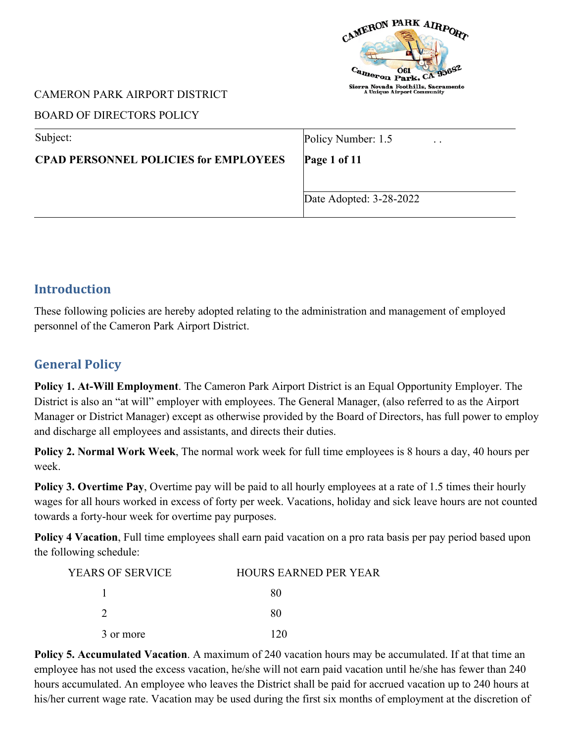

### BOARD OF DIRECTORS POLICY

| Policy Number: 1.5<br>$\cdot$ $\cdot$ |
|---------------------------------------|
| Page 1 of $11$                        |
|                                       |
| Date Adopted: 3-28-2022               |
|                                       |

# **Introduction**

These following policies are hereby adopted relating to the administration and management of employed personnel of the Cameron Park Airport District.

# **General Policy**

**Policy 1. At-Will Employment**. The Cameron Park Airport District is an Equal Opportunity Employer. The District is also an "at will" employer with employees. The General Manager, (also referred to as the Airport Manager or District Manager) except as otherwise provided by the Board of Directors, has full power to employ and discharge all employees and assistants, and directs their duties.

**Policy 2. Normal Work Week**, The normal work week for full time employees is 8 hours a day, 40 hours per week.

**Policy 3. Overtime Pay**, Overtime pay will be paid to all hourly employees at a rate of 1.5 times their hourly wages for all hours worked in excess of forty per week. Vacations, holiday and sick leave hours are not counted towards a forty-hour week for overtime pay purposes.

**Policy 4 Vacation**, Full time employees shall earn paid vacation on a pro rata basis per pay period based upon the following schedule:

| YEARS OF SERVICE | <b>HOURS EARNED PER YEAR</b> |
|------------------|------------------------------|
|                  | 80                           |
|                  | 80                           |
| 3 or more        | 170                          |

**Policy 5. Accumulated Vacation**. A maximum of 240 vacation hours may be accumulated. If at that time an employee has not used the excess vacation, he/she will not earn paid vacation until he/she has fewer than 240 hours accumulated. An employee who leaves the District shall be paid for accrued vacation up to 240 hours at his/her current wage rate. Vacation may be used during the first six months of employment at the discretion of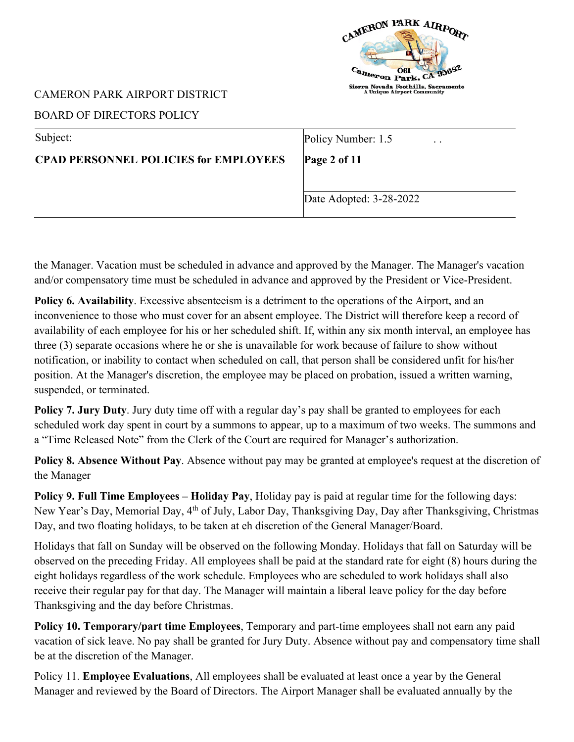

### BOARD OF DIRECTORS POLICY

| Subject:                                     | Policy Number: 1.5<br>$\ddot{\phantom{0}}$ |
|----------------------------------------------|--------------------------------------------|
| <b>CPAD PERSONNEL POLICIES for EMPLOYEES</b> | Page 2 of 11                               |
|                                              |                                            |
|                                              | Date Adopted: 3-28-2022                    |
|                                              |                                            |

the Manager. Vacation must be scheduled in advance and approved by the Manager. The Manager's vacation and/or compensatory time must be scheduled in advance and approved by the President or Vice-President.

**Policy 6. Availability**. Excessive absenteeism is a detriment to the operations of the Airport, and an inconvenience to those who must cover for an absent employee. The District will therefore keep a record of availability of each employee for his or her scheduled shift. If, within any six month interval, an employee has three (3) separate occasions where he or she is unavailable for work because of failure to show without notification, or inability to contact when scheduled on call, that person shall be considered unfit for his/her position. At the Manager's discretion, the employee may be placed on probation, issued a written warning, suspended, or terminated.

**Policy 7. Jury Duty**. Jury duty time off with a regular day's pay shall be granted to employees for each scheduled work day spent in court by a summons to appear, up to a maximum of two weeks. The summons and a "Time Released Note" from the Clerk of the Court are required for Manager's authorization.

**Policy 8. Absence Without Pay**. Absence without pay may be granted at employee's request at the discretion of the Manager

**Policy 9. Full Time Employees – Holiday Pay**, Holiday pay is paid at regular time for the following days: New Year's Day, Memorial Day, 4th of July, Labor Day, Thanksgiving Day, Day after Thanksgiving, Christmas Day, and two floating holidays, to be taken at eh discretion of the General Manager/Board.

Holidays that fall on Sunday will be observed on the following Monday. Holidays that fall on Saturday will be observed on the preceding Friday. All employees shall be paid at the standard rate for eight (8) hours during the eight holidays regardless of the work schedule. Employees who are scheduled to work holidays shall also receive their regular pay for that day. The Manager will maintain a liberal leave policy for the day before Thanksgiving and the day before Christmas.

**Policy 10. Temporary/part time Employees**, Temporary and part-time employees shall not earn any paid vacation of sick leave. No pay shall be granted for Jury Duty. Absence without pay and compensatory time shall be at the discretion of the Manager.

Policy 11. **Employee Evaluations**, All employees shall be evaluated at least once a year by the General Manager and reviewed by the Board of Directors. The Airport Manager shall be evaluated annually by the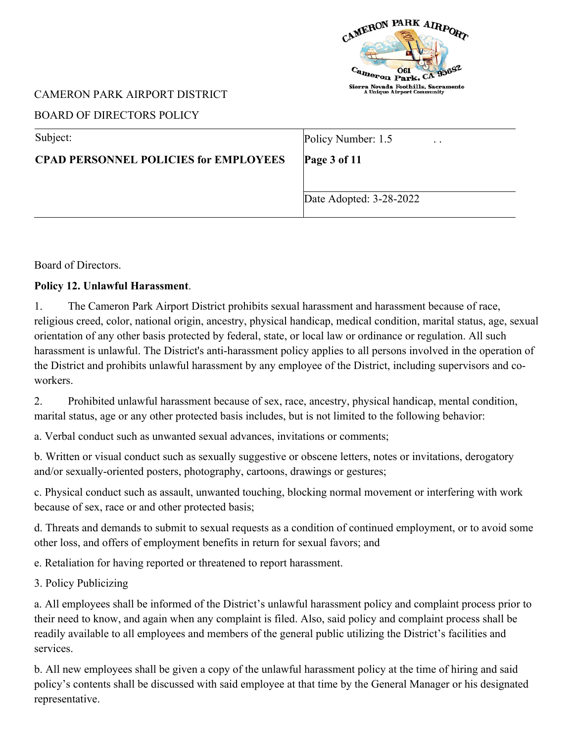

### BOARD OF DIRECTORS POLICY

| Subject:                                     | Policy Number: 1.5<br>$\cdot$ $\cdot$ |
|----------------------------------------------|---------------------------------------|
| <b>CPAD PERSONNEL POLICIES for EMPLOYEES</b> | Page $3$ of 11                        |
|                                              |                                       |
|                                              | Date Adopted: 3-28-2022               |

Board of Directors.

## **Policy 12. Unlawful Harassment**.

1. The Cameron Park Airport District prohibits sexual harassment and harassment because of race, religious creed, color, national origin, ancestry, physical handicap, medical condition, marital status, age, sexual orientation of any other basis protected by federal, state, or local law or ordinance or regulation. All such harassment is unlawful. The District's anti-harassment policy applies to all persons involved in the operation of the District and prohibits unlawful harassment by any employee of the District, including supervisors and coworkers.

2. Prohibited unlawful harassment because of sex, race, ancestry, physical handicap, mental condition, marital status, age or any other protected basis includes, but is not limited to the following behavior:

a. Verbal conduct such as unwanted sexual advances, invitations or comments;

b. Written or visual conduct such as sexually suggestive or obscene letters, notes or invitations, derogatory and/or sexually-oriented posters, photography, cartoons, drawings or gestures;

c. Physical conduct such as assault, unwanted touching, blocking normal movement or interfering with work because of sex, race or and other protected basis;

d. Threats and demands to submit to sexual requests as a condition of continued employment, or to avoid some other loss, and offers of employment benefits in return for sexual favors; and

e. Retaliation for having reported or threatened to report harassment.

3. Policy Publicizing

a. All employees shall be informed of the District's unlawful harassment policy and complaint process prior to their need to know, and again when any complaint is filed. Also, said policy and complaint process shall be readily available to all employees and members of the general public utilizing the District's facilities and services.

b. All new employees shall be given a copy of the unlawful harassment policy at the time of hiring and said policy's contents shall be discussed with said employee at that time by the General Manager or his designated representative.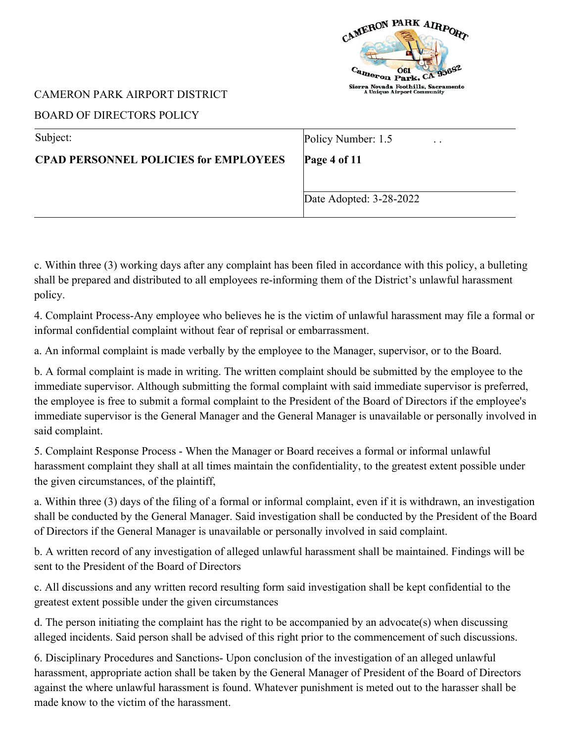

# BOARD OF DIRECTORS POLICY

c. Within three (3) working days after any complaint has been filed in accordance with this policy, a bulleting shall be prepared and distributed to all employees re-informing them of the District's unlawful harassment policy.

4. Complaint Process-Any employee who believes he is the victim of unlawful harassment may file a formal or informal confidential complaint without fear of reprisal or embarrassment.

a. An informal complaint is made verbally by the employee to the Manager, supervisor, or to the Board.

b. A formal complaint is made in writing. The written complaint should be submitted by the employee to the immediate supervisor. Although submitting the formal complaint with said immediate supervisor is preferred, the employee is free to submit a formal complaint to the President of the Board of Directors if the employee's immediate supervisor is the General Manager and the General Manager is unavailable or personally involved in said complaint.

5. Complaint Response Process - When the Manager or Board receives a formal or informal unlawful harassment complaint they shall at all times maintain the confidentiality, to the greatest extent possible under the given circumstances, of the plaintiff,

a. Within three (3) days of the filing of a formal or informal complaint, even if it is withdrawn, an investigation shall be conducted by the General Manager. Said investigation shall be conducted by the President of the Board of Directors if the General Manager is unavailable or personally involved in said complaint.

b. A written record of any investigation of alleged unlawful harassment shall be maintained. Findings will be sent to the President of the Board of Directors

c. All discussions and any written record resulting form said investigation shall be kept confidential to the greatest extent possible under the given circumstances

d. The person initiating the complaint has the right to be accompanied by an advocate(s) when discussing alleged incidents. Said person shall be advised of this right prior to the commencement of such discussions.

6. Disciplinary Procedures and Sanctions- Upon conclusion of the investigation of an alleged unlawful harassment, appropriate action shall be taken by the General Manager of President of the Board of Directors against the where unlawful harassment is found. Whatever punishment is meted out to the harasser shall be made know to the victim of the harassment.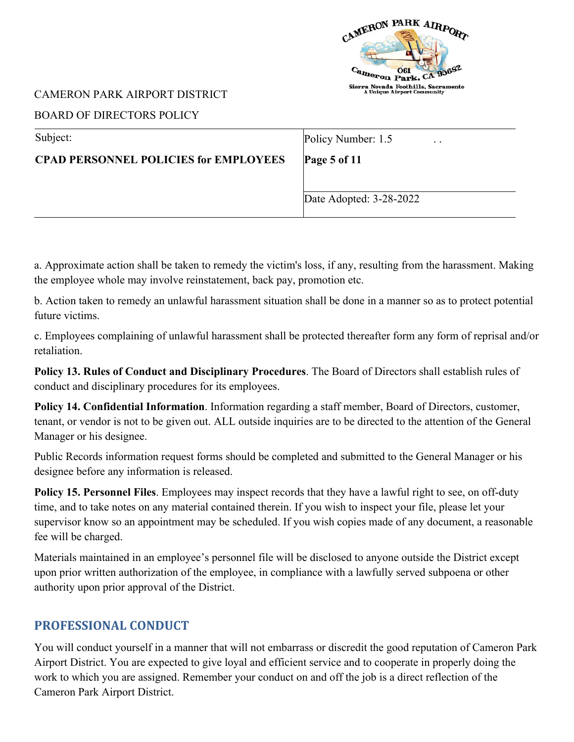

### BOARD OF DIRECTORS POLICY

| Subject:                                     | Policy Number: 1.5<br>$\ddot{\phantom{0}}$ |
|----------------------------------------------|--------------------------------------------|
| <b>CPAD PERSONNEL POLICIES for EMPLOYEES</b> | Page 5 of $11$                             |
|                                              |                                            |
|                                              | Date Adopted: 3-28-2022                    |
|                                              |                                            |

a. Approximate action shall be taken to remedy the victim's loss, if any, resulting from the harassment. Making the employee whole may involve reinstatement, back pay, promotion etc.

b. Action taken to remedy an unlawful harassment situation shall be done in a manner so as to protect potential future victims.

c. Employees complaining of unlawful harassment shall be protected thereafter form any form of reprisal and/or retaliation.

**Policy 13. Rules of Conduct and Disciplinary Procedures**. The Board of Directors shall establish rules of conduct and disciplinary procedures for its employees.

**Policy 14. Confidential Information**. Information regarding a staff member, Board of Directors, customer, tenant, or vendor is not to be given out. ALL outside inquiries are to be directed to the attention of the General Manager or his designee.

Public Records information request forms should be completed and submitted to the General Manager or his designee before any information is released.

**Policy 15. Personnel Files**. Employees may inspect records that they have a lawful right to see, on off-duty time, and to take notes on any material contained therein. If you wish to inspect your file, please let your supervisor know so an appointment may be scheduled. If you wish copies made of any document, a reasonable fee will be charged.

Materials maintained in an employee's personnel file will be disclosed to anyone outside the District except upon prior written authorization of the employee, in compliance with a lawfully served subpoena or other authority upon prior approval of the District.

# **PROFESSIONAL CONDUCT**

You will conduct yourself in a manner that will not embarrass or discredit the good reputation of Cameron Park Airport District. You are expected to give loyal and efficient service and to cooperate in properly doing the work to which you are assigned. Remember your conduct on and off the job is a direct reflection of the Cameron Park Airport District.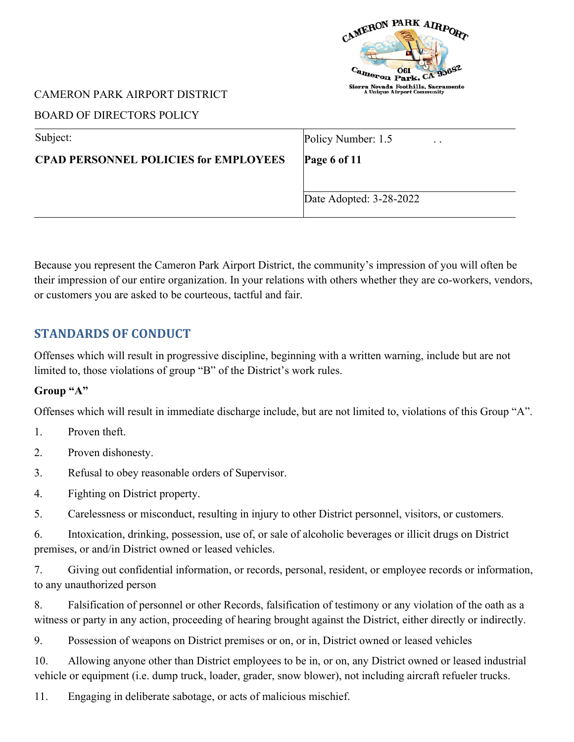

## BOARD OF DIRECTORS POLICY

| Subject:                                     | Policy Number: 1.5<br>$\cdot$ $\cdot$ |
|----------------------------------------------|---------------------------------------|
| <b>CPAD PERSONNEL POLICIES for EMPLOYEES</b> | Page 6 of $11$                        |
|                                              |                                       |
|                                              | Date Adopted: 3-28-2022               |
|                                              |                                       |

Because you represent the Cameron Park Airport District, the community's impression of you will often be their impression of our entire organization. In your relations with others whether they are co-workers, vendors, or customers you are asked to be courteous, tactful and fair.

# **STANDARDS OF CONDUCT**

Offenses which will result in progressive discipline, beginning with a written warning, include but are not limited to, those violations of group "B" of the District's work rules.

# **Group "A"**

Offenses which will result in immediate discharge include, but are not limited to, violations of this Group "A".

- 1. Proven theft.
- 2. Proven dishonesty.
- 3. Refusal to obey reasonable orders of Supervisor.
- 4. Fighting on District property.
- 5. Carelessness or misconduct, resulting in injury to other District personnel, visitors, or customers.

6. Intoxication, drinking, possession, use of, or sale of alcoholic beverages or illicit drugs on District premises, or and/in District owned or leased vehicles.

7. Giving out confidential information, or records, personal, resident, or employee records or information, to any unauthorized person

8. Falsification of personnel or other Records, falsification of testimony or any violation of the oath as a witness or party in any action, proceeding of hearing brought against the District, either directly or indirectly.

9. Possession of weapons on District premises or on, or in, District owned or leased vehicles

10. Allowing anyone other than District employees to be in, or on, any District owned or leased industrial vehicle or equipment (i.e. dump truck, loader, grader, snow blower), not including aircraft refueler trucks.

11. Engaging in deliberate sabotage, or acts of malicious mischief.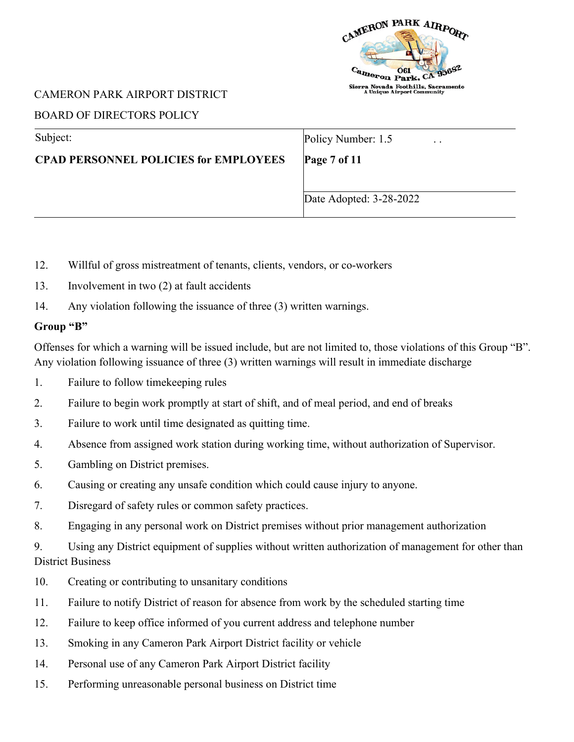

### BOARD OF DIRECTORS POLICY

| Subject:                                     | Policy Number: 1.5<br>$\cdot$ $\cdot$ |
|----------------------------------------------|---------------------------------------|
| <b>CPAD PERSONNEL POLICIES for EMPLOYEES</b> | Page 7 of 11                          |
|                                              |                                       |
|                                              | Date Adopted: 3-28-2022               |

- 12. Willful of gross mistreatment of tenants, clients, vendors, or co-workers
- 13. Involvement in two (2) at fault accidents
- 14. Any violation following the issuance of three (3) written warnings.

#### **Group "B"**

Offenses for which a warning will be issued include, but are not limited to, those violations of this Group "B". Any violation following issuance of three (3) written warnings will result in immediate discharge

- 1. Failure to follow timekeeping rules
- 2. Failure to begin work promptly at start of shift, and of meal period, and end of breaks
- 3. Failure to work until time designated as quitting time.
- 4. Absence from assigned work station during working time, without authorization of Supervisor.
- 5. Gambling on District premises.
- 6. Causing or creating any unsafe condition which could cause injury to anyone.
- 7. Disregard of safety rules or common safety practices.
- 8. Engaging in any personal work on District premises without prior management authorization

9. Using any District equipment of supplies without written authorization of management for other than District Business

- 10. Creating or contributing to unsanitary conditions
- 11. Failure to notify District of reason for absence from work by the scheduled starting time
- 12. Failure to keep office informed of you current address and telephone number
- 13. Smoking in any Cameron Park Airport District facility or vehicle
- 14. Personal use of any Cameron Park Airport District facility
- 15. Performing unreasonable personal business on District time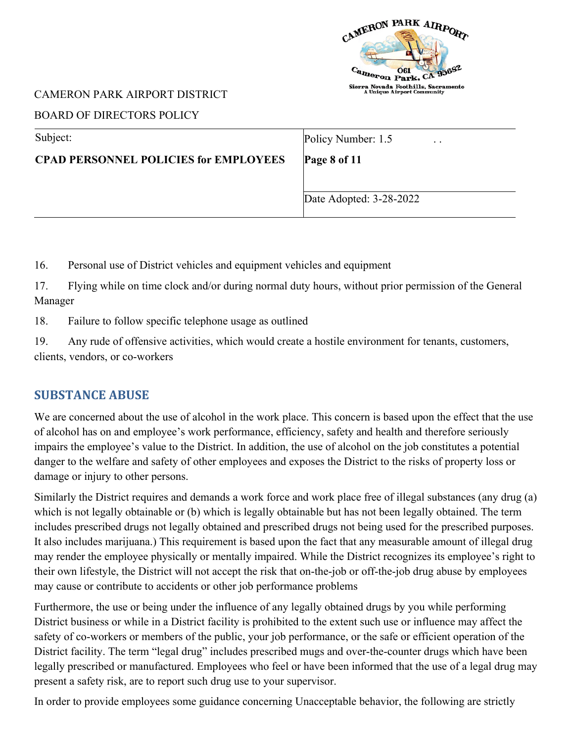

# BOARD OF DIRECTORS POLICY

| Subject:                                     | Policy Number: 1.5<br>$\cdot$ . |
|----------------------------------------------|---------------------------------|
| <b>CPAD PERSONNEL POLICIES for EMPLOYEES</b> | Page 8 of 11                    |
|                                              |                                 |
|                                              | Date Adopted: 3-28-2022         |

16. Personal use of District vehicles and equipment vehicles and equipment

17. Flying while on time clock and/or during normal duty hours, without prior permission of the General Manager

18. Failure to follow specific telephone usage as outlined

19. Any rude of offensive activities, which would create a hostile environment for tenants, customers, clients, vendors, or co-workers

# **SUBSTANCE ABUSE**

We are concerned about the use of alcohol in the work place. This concern is based upon the effect that the use of alcohol has on and employee's work performance, efficiency, safety and health and therefore seriously impairs the employee's value to the District. In addition, the use of alcohol on the job constitutes a potential danger to the welfare and safety of other employees and exposes the District to the risks of property loss or damage or injury to other persons.

Similarly the District requires and demands a work force and work place free of illegal substances (any drug (a) which is not legally obtainable or (b) which is legally obtainable but has not been legally obtained. The term includes prescribed drugs not legally obtained and prescribed drugs not being used for the prescribed purposes. It also includes marijuana.) This requirement is based upon the fact that any measurable amount of illegal drug may render the employee physically or mentally impaired. While the District recognizes its employee's right to their own lifestyle, the District will not accept the risk that on-the-job or off-the-job drug abuse by employees may cause or contribute to accidents or other job performance problems

Furthermore, the use or being under the influence of any legally obtained drugs by you while performing District business or while in a District facility is prohibited to the extent such use or influence may affect the safety of co-workers or members of the public, your job performance, or the safe or efficient operation of the District facility. The term "legal drug" includes prescribed mugs and over-the-counter drugs which have been legally prescribed or manufactured. Employees who feel or have been informed that the use of a legal drug may present a safety risk, are to report such drug use to your supervisor.

In order to provide employees some guidance concerning Unacceptable behavior, the following are strictly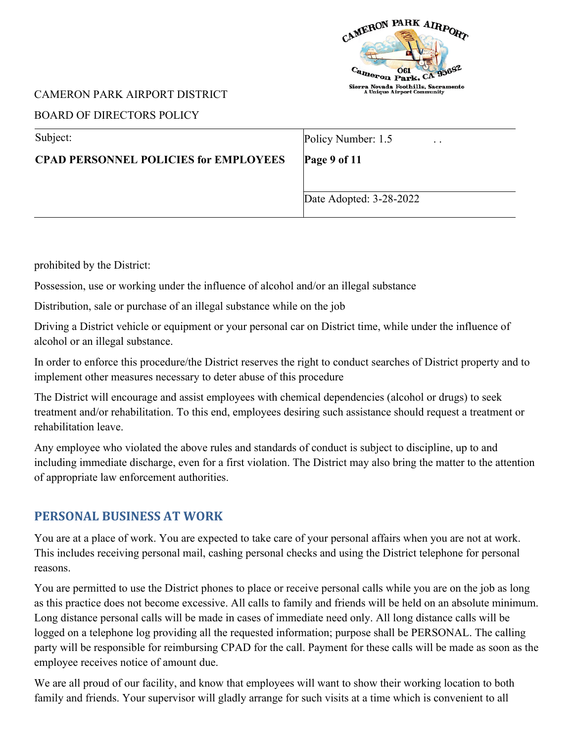

## BOARD OF DIRECTORS POLICY

| Subject:                                     | Policy Number: 1.5<br>$\ddot{\phantom{0}}$ |
|----------------------------------------------|--------------------------------------------|
| <b>CPAD PERSONNEL POLICIES for EMPLOYEES</b> | Page 9 of 11                               |
|                                              |                                            |
|                                              | Date Adopted: 3-28-2022                    |

prohibited by the District:

Possession, use or working under the influence of alcohol and/or an illegal substance

Distribution, sale or purchase of an illegal substance while on the job

Driving a District vehicle or equipment or your personal car on District time, while under the influence of alcohol or an illegal substance.

In order to enforce this procedure/the District reserves the right to conduct searches of District property and to implement other measures necessary to deter abuse of this procedure

The District will encourage and assist employees with chemical dependencies (alcohol or drugs) to seek treatment and/or rehabilitation. To this end, employees desiring such assistance should request a treatment or rehabilitation leave.

Any employee who violated the above rules and standards of conduct is subject to discipline, up to and including immediate discharge, even for a first violation. The District may also bring the matter to the attention of appropriate law enforcement authorities.

# **PERSONAL BUSINESS AT WORK**

You are at a place of work. You are expected to take care of your personal affairs when you are not at work. This includes receiving personal mail, cashing personal checks and using the District telephone for personal reasons.

You are permitted to use the District phones to place or receive personal calls while you are on the job as long as this practice does not become excessive. All calls to family and friends will be held on an absolute minimum. Long distance personal calls will be made in cases of immediate need only. All long distance calls will be logged on a telephone log providing all the requested information; purpose shall be PERSONAL. The calling party will be responsible for reimbursing CPAD for the call. Payment for these calls will be made as soon as the employee receives notice of amount due.

We are all proud of our facility, and know that employees will want to show their working location to both family and friends. Your supervisor will gladly arrange for such visits at a time which is convenient to all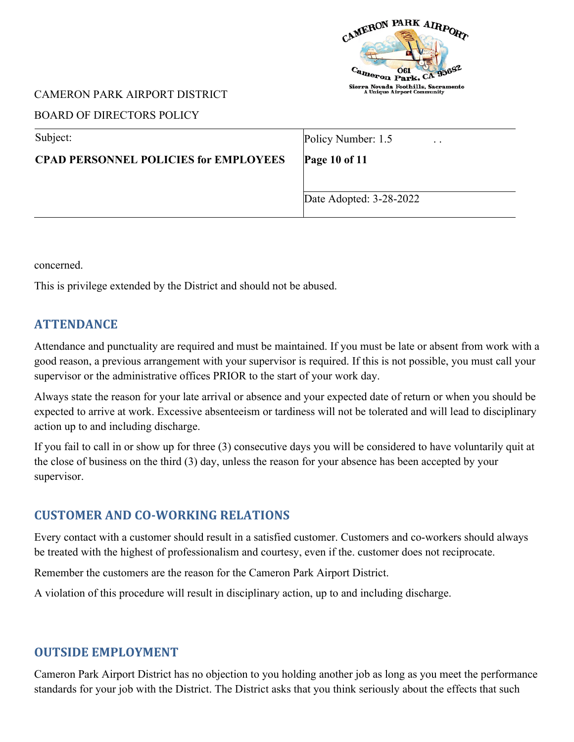

### BOARD OF DIRECTORS POLICY

| Subject:                                     | Policy Number: 1.5<br>$\cdot$ $\cdot$ |
|----------------------------------------------|---------------------------------------|
| <b>CPAD PERSONNEL POLICIES for EMPLOYEES</b> | <b>Page 10 of 11</b>                  |
|                                              |                                       |
|                                              | Date Adopted: 3-28-2022               |
|                                              |                                       |

concerned.

This is privilege extended by the District and should not be abused.

# **ATTENDANCE**

Attendance and punctuality are required and must be maintained. If you must be late or absent from work with a good reason, a previous arrangement with your supervisor is required. If this is not possible, you must call your supervisor or the administrative offices PRIOR to the start of your work day.

Always state the reason for your late arrival or absence and your expected date of return or when you should be expected to arrive at work. Excessive absenteeism or tardiness will not be tolerated and will lead to disciplinary action up to and including discharge.

If you fail to call in or show up for three (3) consecutive days you will be considered to have voluntarily quit at the close of business on the third (3) day, unless the reason for your absence has been accepted by your supervisor.

# **CUSTOMER AND CO-WORKING RELATIONS**

Every contact with a customer should result in a satisfied customer. Customers and co-workers should always be treated with the highest of professionalism and courtesy, even if the. customer does not reciprocate.

Remember the customers are the reason for the Cameron Park Airport District.

A violation of this procedure will result in disciplinary action, up to and including discharge.

# **OUTSIDE EMPLOYMENT**

Cameron Park Airport District has no objection to you holding another job as long as you meet the performance standards for your job with the District. The District asks that you think seriously about the effects that such